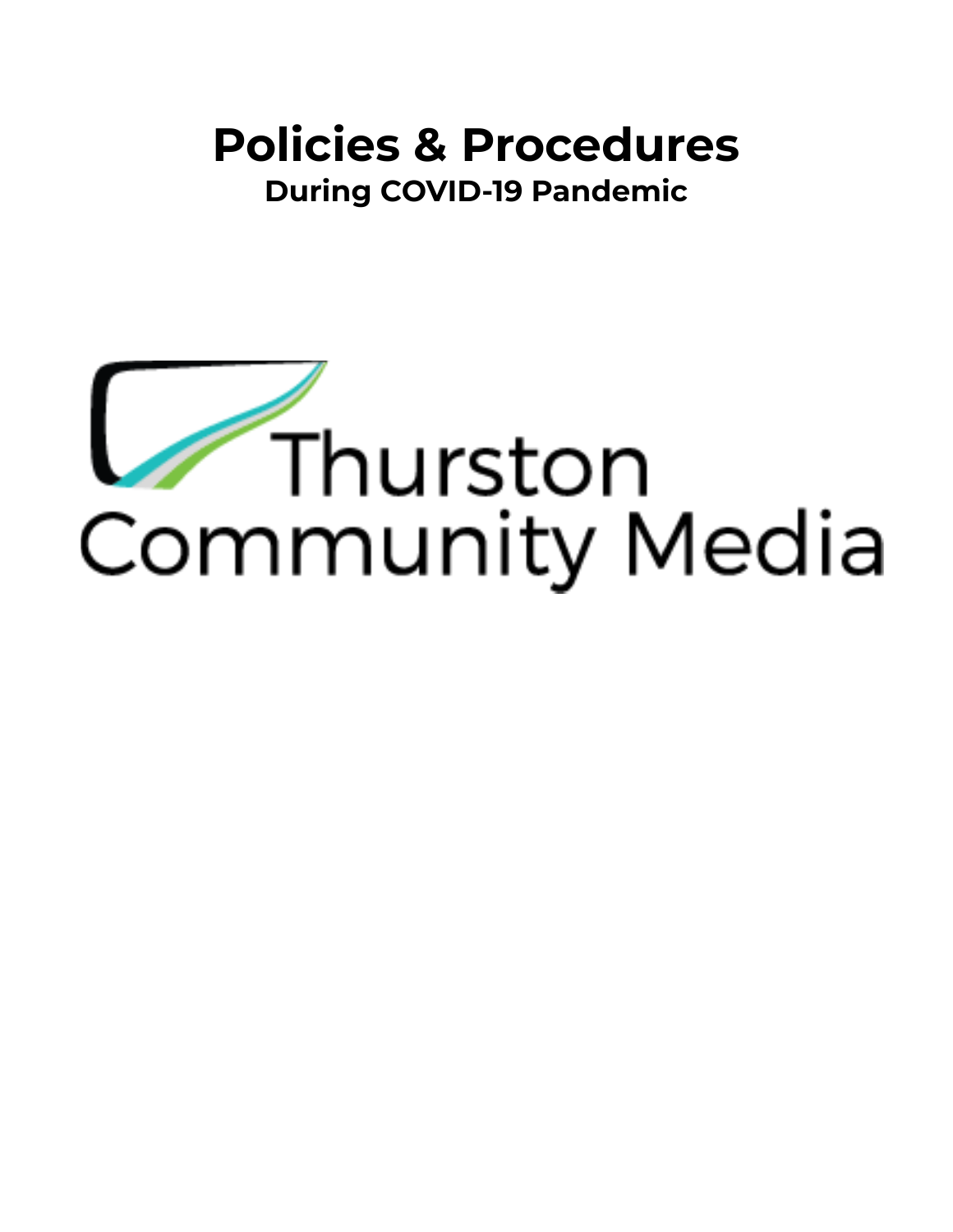# **Policies & Procedures During COVID-19 Pandemic**

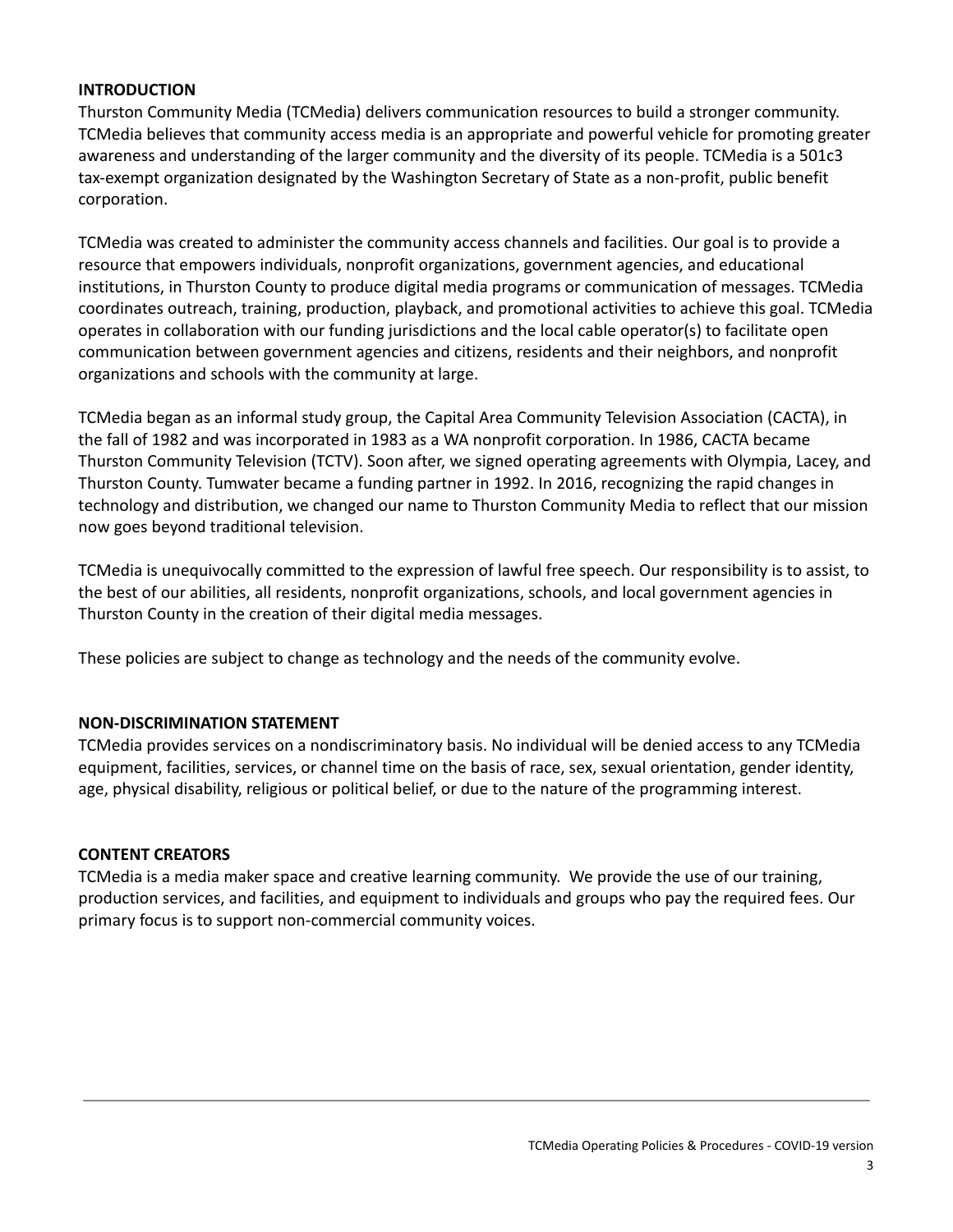#### **INTRODUCTION**

Thurston Community Media (TCMedia) delivers communication resources to build a stronger community. TCMedia believes that community access media is an appropriate and powerful vehicle for promoting greater awareness and understanding of the larger community and the diversity of its people. TCMedia is a 501c3 tax-exempt organization designated by the Washington Secretary of State as a non-profit, public benefit corporation.

TCMedia was created to administer the community access channels and facilities. Our goal is to provide a resource that empowers individuals, nonprofit organizations, government agencies, and educational institutions, in Thurston County to produce digital media programs or communication of messages. TCMedia coordinates outreach, training, production, playback, and promotional activities to achieve this goal. TCMedia operates in collaboration with our funding jurisdictions and the local cable operator(s) to facilitate open communication between government agencies and citizens, residents and their neighbors, and nonprofit organizations and schools with the community at large.

TCMedia began as an informal study group, the Capital Area Community Television Association (CACTA), in the fall of 1982 and was incorporated in 1983 as a WA nonprofit corporation. In 1986, CACTA became Thurston Community Television (TCTV). Soon after, we signed operating agreements with Olympia, Lacey, and Thurston County. Tumwater became a funding partner in 1992. In 2016, recognizing the rapid changes in technology and distribution, we changed our name to Thurston Community Media to reflect that our mission now goes beyond traditional television.

TCMedia is unequivocally committed to the expression of lawful free speech. Our responsibility is to assist, to the best of our abilities, all residents, nonprofit organizations, schools, and local government agencies in Thurston County in the creation of their digital media messages.

These policies are subject to change as technology and the needs of the community evolve.

#### **NON-DISCRIMINATION STATEMENT**

TCMedia provides services on a nondiscriminatory basis. No individual will be denied access to any TCMedia equipment, facilities, services, or channel time on the basis of race, sex, sexual orientation, gender identity, age, physical disability, religious or political belief, or due to the nature of the programming interest.

#### **CONTENT CREATORS**

TCMedia is a media maker space and creative learning community. We provide the use of our training, production services, and facilities, and equipment to individuals and groups who pay the required fees. Our primary focus is to support non-commercial community voices.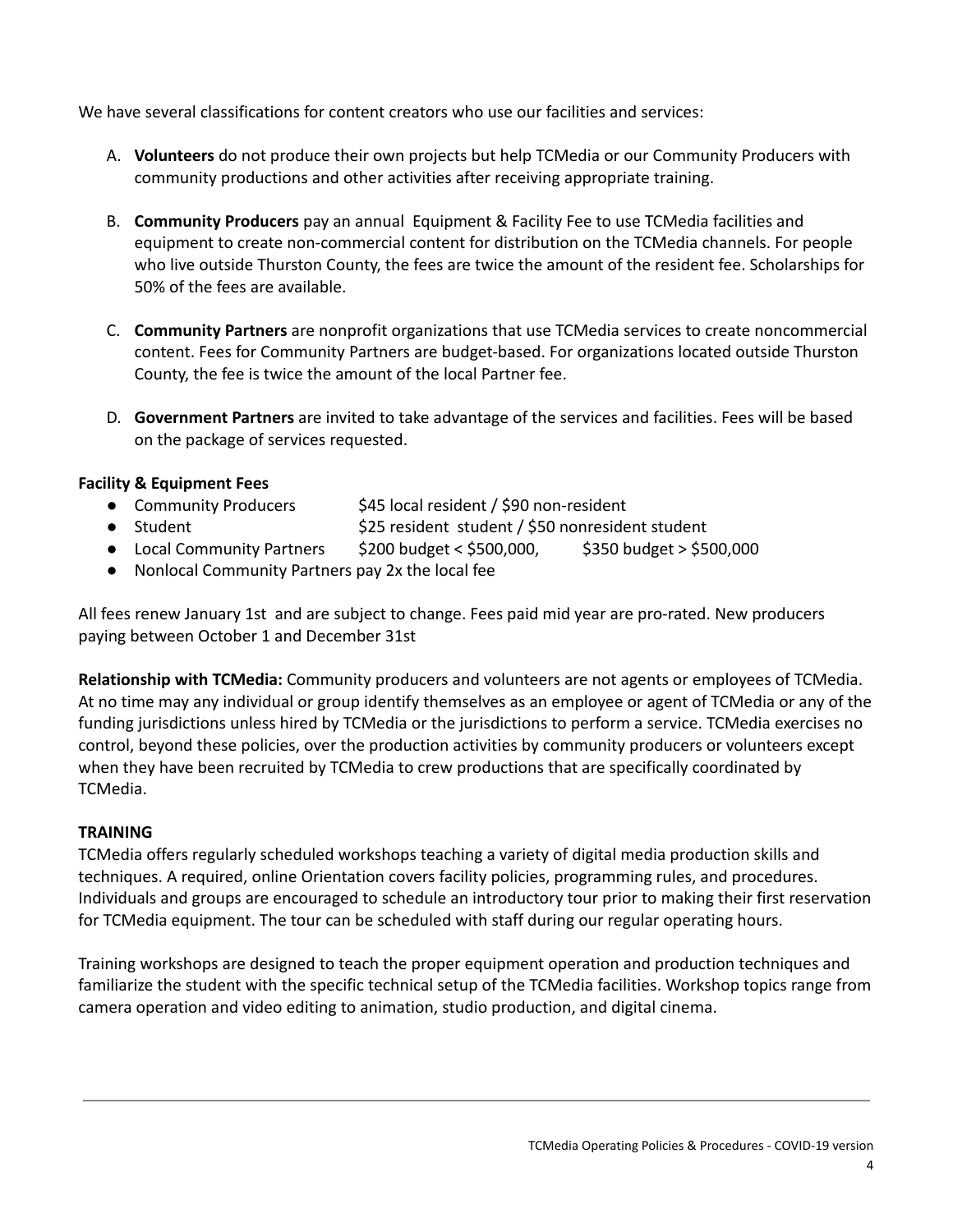We have several classifications for content creators who use our facilities and services:

- A. **Volunteers** do not produce their own projects but help TCMedia or our Community Producers with community productions and other activities after receiving appropriate training.
- B. **Community Producers** pay an annual Equipment & Facility Fee to use TCMedia facilities and equipment to create non-commercial content for distribution on the TCMedia channels. For people who live outside Thurston County, the fees are twice the amount of the resident fee. Scholarships for 50% of the fees are available.
- C. **Community Partners** are nonprofit organizations that use TCMedia services to create noncommercial content. Fees for Community Partners are budget-based. For organizations located outside Thurston County, the fee is twice the amount of the local Partner fee.
- D. **Government Partners** are invited to take advantage of the services and facilities. Fees will be based on the package of services requested.

## **Facility & Equipment Fees**

- Community Producers \$45 local resident / \$90 non-resident
- Student **being the Student student / \$50 nonresident student**
- Local Community Partners  $$200$  budget <  $$500,000$ ,  $$350$  budget >  $$500,000$
- Nonlocal Community Partners pay 2x the local fee

All fees renew January 1st and are subject to change. Fees paid mid year are pro-rated. New producers paying between October 1 and December 31st

**Relationship with TCMedia:** Community producers and volunteers are not agents or employees of TCMedia. At no time may any individual or group identify themselves as an employee or agent of TCMedia or any of the funding jurisdictions unless hired by TCMedia or the jurisdictions to perform a service. TCMedia exercises no control, beyond these policies, over the production activities by community producers or volunteers except when they have been recruited by TCMedia to crew productions that are specifically coordinated by TCMedia.

## **TRAINING**

TCMedia offers regularly scheduled workshops teaching a variety of digital media production skills and techniques. A required, online Orientation covers facility policies, programming rules, and procedures. Individuals and groups are encouraged to schedule an introductory tour prior to making their first reservation for TCMedia equipment. The tour can be scheduled with staff during our regular operating hours.

Training workshops are designed to teach the proper equipment operation and production techniques and familiarize the student with the specific technical setup of the TCMedia facilities. Workshop topics range from camera operation and video editing to animation, studio production, and digital cinema.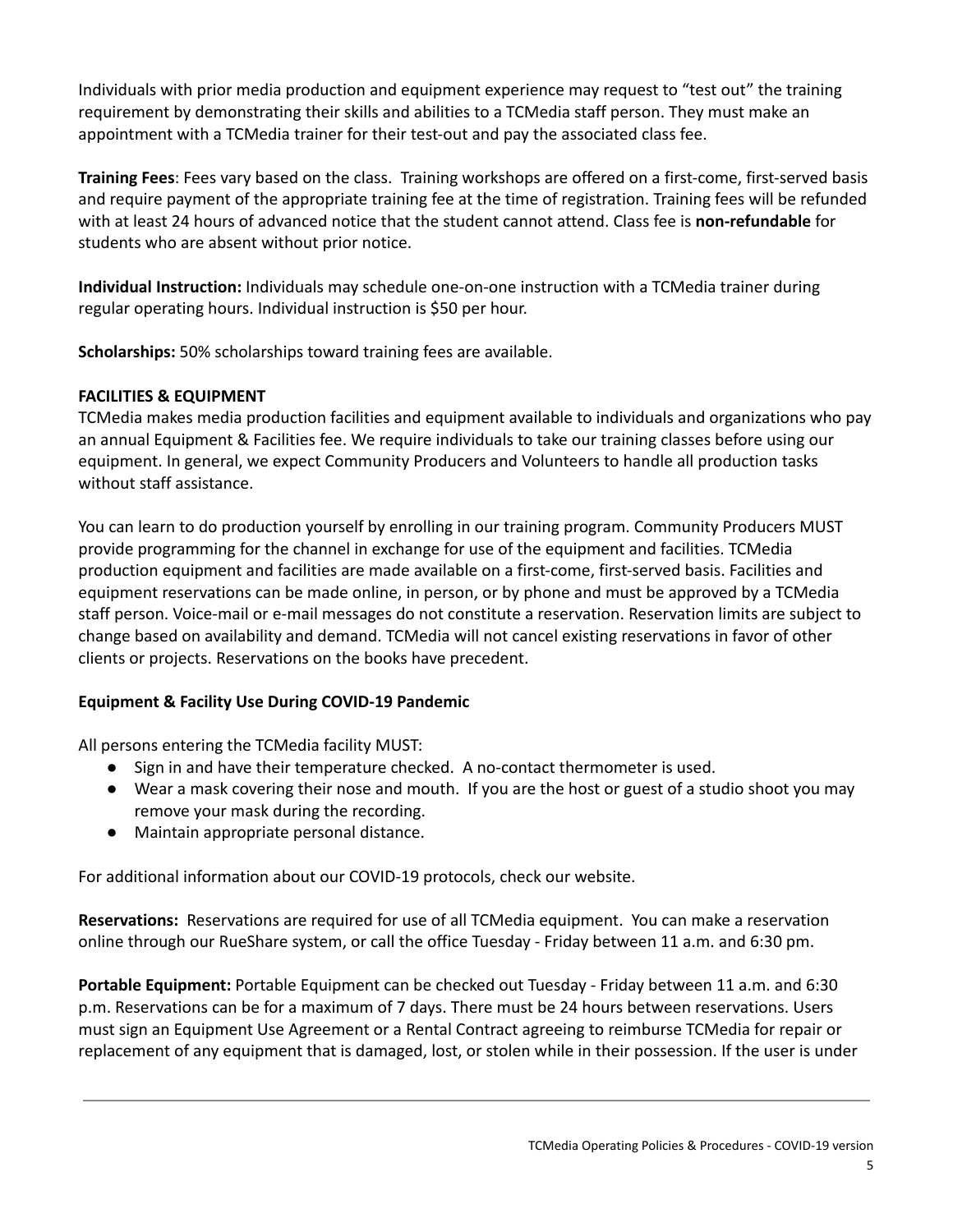Individuals with prior media production and equipment experience may request to "test out" the training requirement by demonstrating their skills and abilities to a TCMedia staff person. They must make an appointment with a TCMedia trainer for their test-out and pay the associated class fee.

**Training Fees**: Fees vary based on the class. Training workshops are offered on a first-come, first-served basis and require payment of the appropriate training fee at the time of registration. Training fees will be refunded with at least 24 hours of advanced notice that the student cannot attend. Class fee is **non-refundable** for students who are absent without prior notice.

**Individual Instruction:** Individuals may schedule one-on-one instruction with a TCMedia trainer during regular operating hours. Individual instruction is \$50 per hour.

**Scholarships:** 50% scholarships toward training fees are available.

#### **FACILITIES & EQUIPMENT**

TCMedia makes media production facilities and equipment available to individuals and organizations who pay an annual Equipment & Facilities fee. We require individuals to take our training classes before using our equipment. In general, we expect Community Producers and Volunteers to handle all production tasks without staff assistance.

You can learn to do production yourself by enrolling in our training program. Community Producers MUST provide programming for the channel in exchange for use of the equipment and facilities. TCMedia production equipment and facilities are made available on a first-come, first-served basis. Facilities and equipment reservations can be made online, in person, or by phone and must be approved by a TCMedia staff person. Voice-mail or e-mail messages do not constitute a reservation. Reservation limits are subject to change based on availability and demand. TCMedia will not cancel existing reservations in favor of other clients or projects. Reservations on the books have precedent.

## **Equipment & Facility Use During COVID-19 Pandemic**

All persons entering the TCMedia facility MUST:

- Sign in and have their temperature checked. A no-contact thermometer is used.
- Wear a mask covering their nose and mouth. If you are the host or guest of a studio shoot you may remove your mask during the recording.
- Maintain appropriate personal distance.

For additional information about our COVID-19 protocols, check our website.

**Reservations:** Reservations are required for use of all TCMedia equipment. You can make a reservation online through our RueShare system, or call the office Tuesday - Friday between 11 a.m. and 6:30 pm.

**Portable Equipment:** Portable Equipment can be checked out Tuesday - Friday between 11 a.m. and 6:30 p.m. Reservations can be for a maximum of 7 days. There must be 24 hours between reservations. Users must sign an Equipment Use Agreement or a Rental Contract agreeing to reimburse TCMedia for repair or replacement of any equipment that is damaged, lost, or stolen while in their possession. If the user is under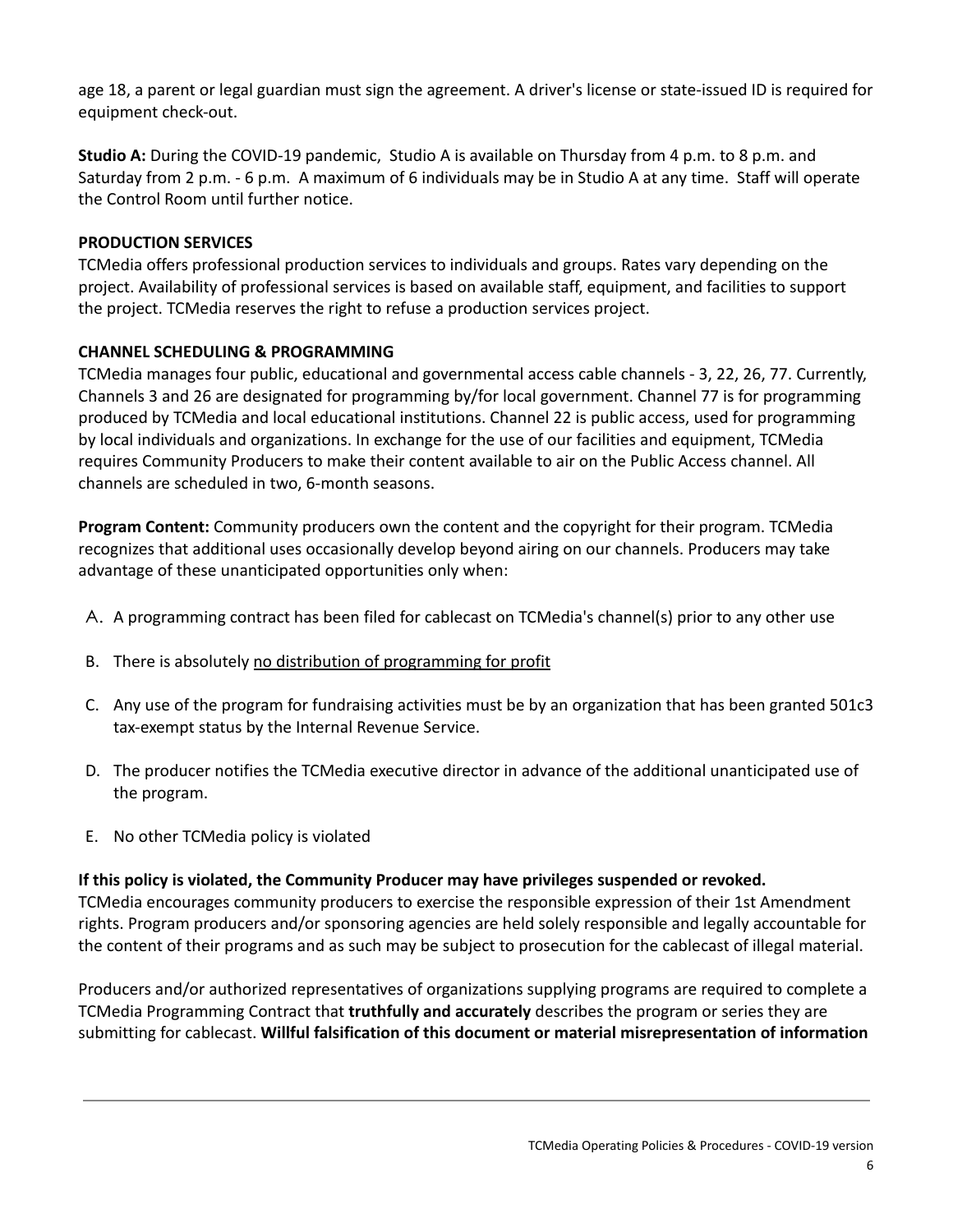age 18, a parent or legal guardian must sign the agreement. A driver's license or state-issued ID is required for equipment check-out.

**Studio A:** During the COVID-19 pandemic, Studio A is available on Thursday from 4 p.m. to 8 p.m. and Saturday from 2 p.m. - 6 p.m. A maximum of 6 individuals may be in Studio A at any time. Staff will operate the Control Room until further notice.

## **PRODUCTION SERVICES**

TCMedia offers professional production services to individuals and groups. Rates vary depending on the project. Availability of professional services is based on available staff, equipment, and facilities to support the project. TCMedia reserves the right to refuse a production services project.

#### **CHANNEL SCHEDULING & PROGRAMMING**

TCMedia manages four public, educational and governmental access cable channels - 3, 22, 26, 77. Currently, Channels 3 and 26 are designated for programming by/for local government. Channel 77 is for programming produced by TCMedia and local educational institutions. Channel 22 is public access, used for programming by local individuals and organizations. In exchange for the use of our facilities and equipment, TCMedia requires Community Producers to make their content available to air on the Public Access channel. All channels are scheduled in two, 6-month seasons.

**Program Content:** Community producers own the content and the copyright for their program. TCMedia recognizes that additional uses occasionally develop beyond airing on our channels. Producers may take advantage of these unanticipated opportunities only when:

- A. A programming contract has been filed for cablecast on TCMedia's channel(s) prior to any other use
- B. There is absolutely no distribution of programming for profit
- C. Any use of the program for fundraising activities must be by an organization that has been granted 501c3 tax-exempt status by the Internal Revenue Service.
- D. The producer notifies the TCMedia executive director in advance of the additional unanticipated use of the program.
- E. No other TCMedia policy is violated

## **If this policy is violated, the Community Producer may have privileges suspended or revoked.**

TCMedia encourages community producers to exercise the responsible expression of their 1st Amendment rights. Program producers and/or sponsoring agencies are held solely responsible and legally accountable for the content of their programs and as such may be subject to prosecution for the cablecast of illegal material.

Producers and/or authorized representatives of organizations supplying programs are required to complete a TCMedia Programming Contract that **truthfully and accurately** describes the program or series they are submitting for cablecast. **Willful falsification of this document or material misrepresentation of information**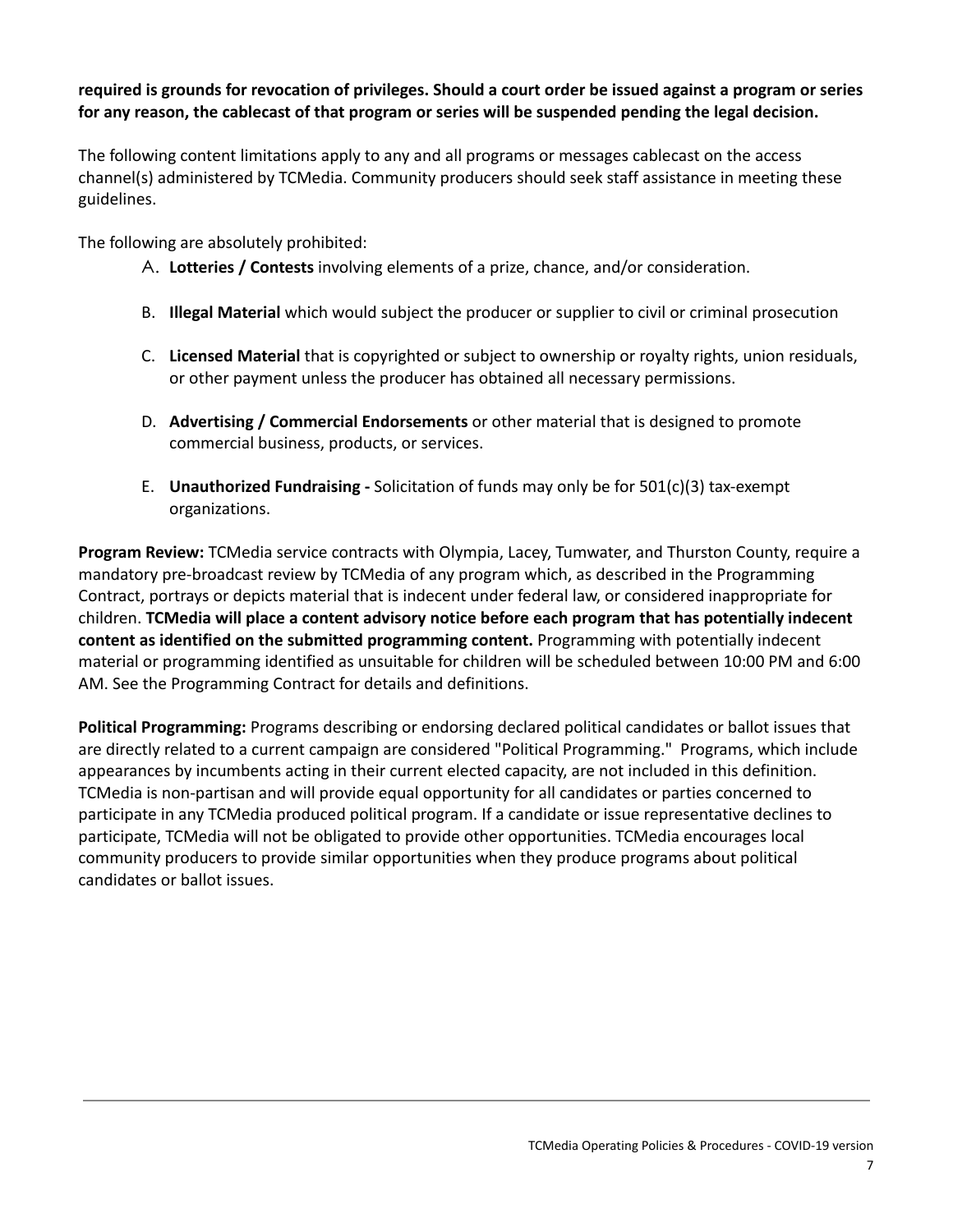#### required is grounds for revocation of privileges. Should a court order be issued against a program or series **for any reason, the cablecast of that program or series will be suspended pending the legal decision.**

The following content limitations apply to any and all programs or messages cablecast on the access channel(s) administered by TCMedia. Community producers should seek staff assistance in meeting these guidelines.

The following are absolutely prohibited:

- A. **Lotteries / Contests** involving elements of a prize, chance, and/or consideration.
- B. **Illegal Material** which would subject the producer or supplier to civil or criminal prosecution
- C. **Licensed Material** that is copyrighted or subject to ownership or royalty rights, union residuals, or other payment unless the producer has obtained all necessary permissions.
- D. **Advertising / Commercial Endorsements** or other material that is designed to promote commercial business, products, or services.
- E. **Unauthorized Fundraising -** Solicitation of funds may only be for 501(c)(3) tax-exempt organizations.

**Program Review:** TCMedia service contracts with Olympia, Lacey, Tumwater, and Thurston County, require a mandatory pre-broadcast review by TCMedia of any program which, as described in the Programming Contract, portrays or depicts material that is indecent under federal law, or considered inappropriate for children. **TCMedia will place a content advisory notice before each program that has potentially indecent content as identified on the submitted programming content.** Programming with potentially indecent material or programming identified as unsuitable for children will be scheduled between 10:00 PM and 6:00 AM. See the Programming Contract for details and definitions.

**Political Programming:** Programs describing or endorsing declared political candidates or ballot issues that are directly related to a current campaign are considered "Political Programming." Programs, which include appearances by incumbents acting in their current elected capacity, are not included in this definition. TCMedia is non-partisan and will provide equal opportunity for all candidates or parties concerned to participate in any TCMedia produced political program. If a candidate or issue representative declines to participate, TCMedia will not be obligated to provide other opportunities. TCMedia encourages local community producers to provide similar opportunities when they produce programs about political candidates or ballot issues.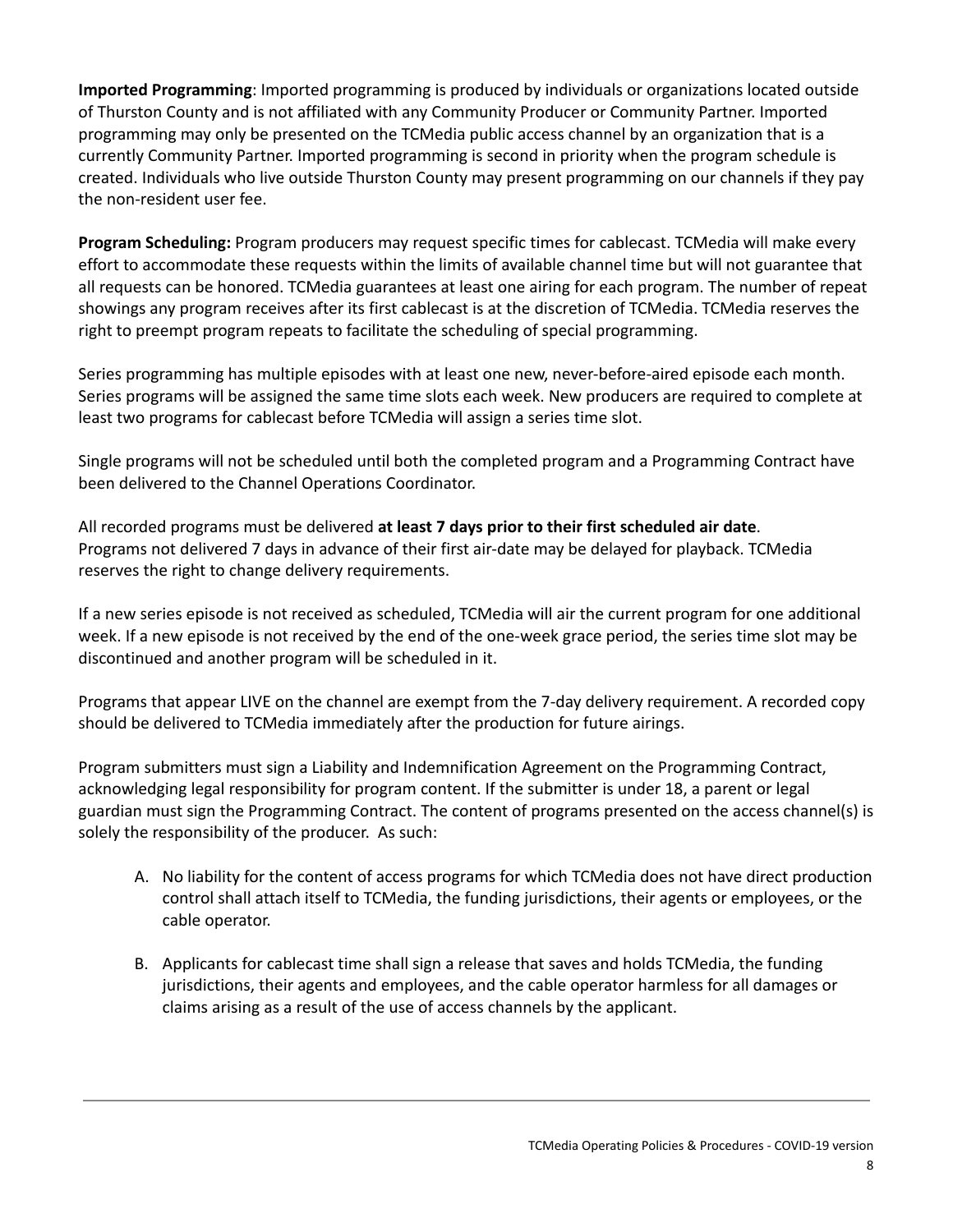**Imported Programming**: Imported programming is produced by individuals or organizations located outside of Thurston County and is not affiliated with any Community Producer or Community Partner. Imported programming may only be presented on the TCMedia public access channel by an organization that is a currently Community Partner. Imported programming is second in priority when the program schedule is created. Individuals who live outside Thurston County may present programming on our channels if they pay the non-resident user fee.

**Program Scheduling:** Program producers may request specific times for cablecast. TCMedia will make every effort to accommodate these requests within the limits of available channel time but will not guarantee that all requests can be honored. TCMedia guarantees at least one airing for each program. The number of repeat showings any program receives after its first cablecast is at the discretion of TCMedia. TCMedia reserves the right to preempt program repeats to facilitate the scheduling of special programming.

Series programming has multiple episodes with at least one new, never-before-aired episode each month. Series programs will be assigned the same time slots each week. New producers are required to complete at least two programs for cablecast before TCMedia will assign a series time slot.

Single programs will not be scheduled until both the completed program and a Programming Contract have been delivered to the Channel Operations Coordinator.

All recorded programs must be delivered **at least 7 days prior to their first scheduled air date**. Programs not delivered 7 days in advance of their first air-date may be delayed for playback. TCMedia reserves the right to change delivery requirements.

If a new series episode is not received as scheduled, TCMedia will air the current program for one additional week. If a new episode is not received by the end of the one-week grace period, the series time slot may be discontinued and another program will be scheduled in it.

Programs that appear LIVE on the channel are exempt from the 7-day delivery requirement. A recorded copy should be delivered to TCMedia immediately after the production for future airings.

Program submitters must sign a Liability and Indemnification Agreement on the Programming Contract, acknowledging legal responsibility for program content. If the submitter is under 18, a parent or legal guardian must sign the Programming Contract. The content of programs presented on the access channel(s) is solely the responsibility of the producer. As such:

- A. No liability for the content of access programs for which TCMedia does not have direct production control shall attach itself to TCMedia, the funding jurisdictions, their agents or employees, or the cable operator.
- B. Applicants for cablecast time shall sign a release that saves and holds TCMedia, the funding jurisdictions, their agents and employees, and the cable operator harmless for all damages or claims arising as a result of the use of access channels by the applicant.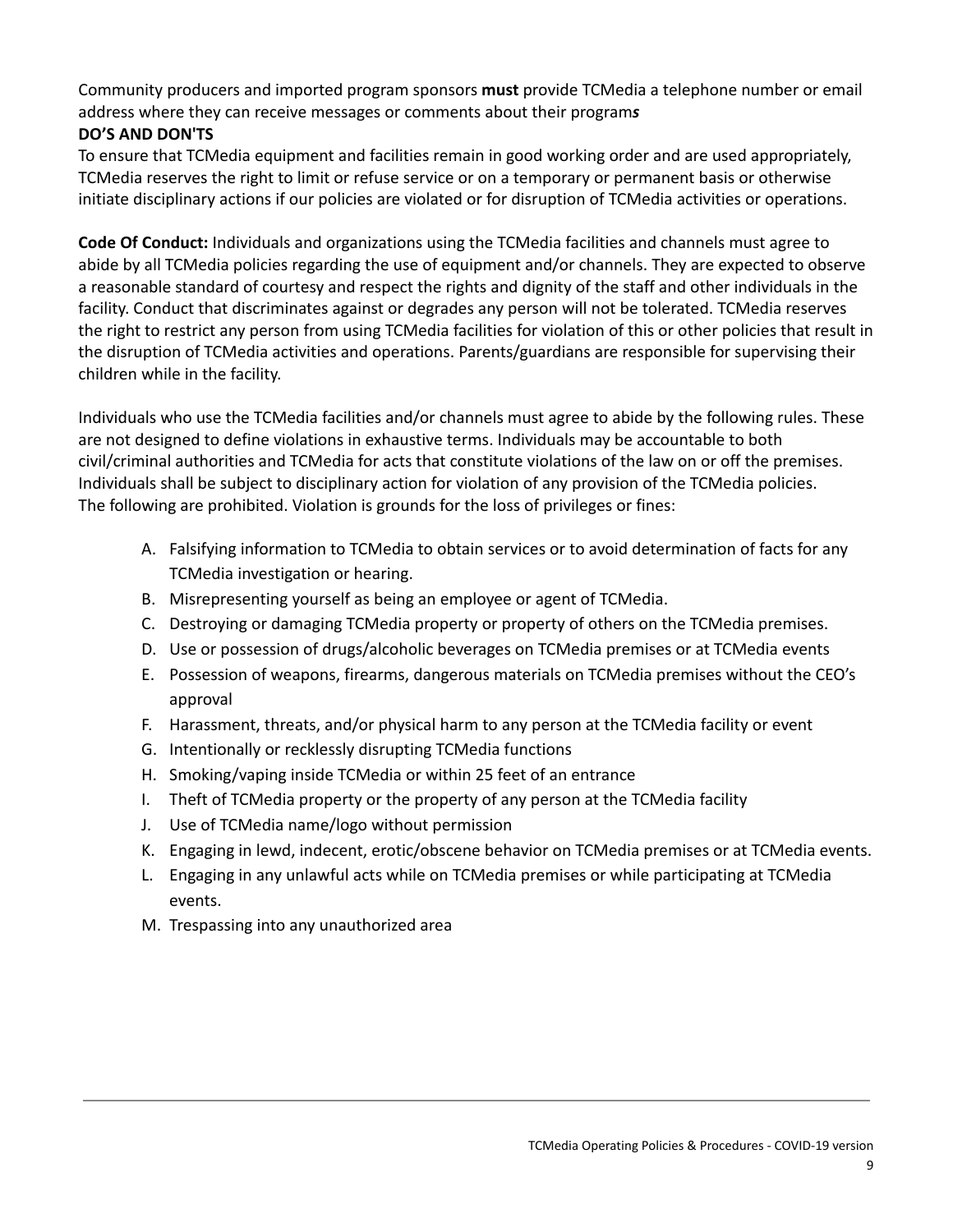Community producers and imported program sponsors **must** provide TCMedia a telephone number or email address where they can receive messages or comments about their program*s*

# **DO'S AND DON'TS**

To ensure that TCMedia equipment and facilities remain in good working order and are used appropriately, TCMedia reserves the right to limit or refuse service or on a temporary or permanent basis or otherwise initiate disciplinary actions if our policies are violated or for disruption of TCMedia activities or operations.

**Code Of Conduct:** Individuals and organizations using the TCMedia facilities and channels must agree to abide by all TCMedia policies regarding the use of equipment and/or channels. They are expected to observe a reasonable standard of courtesy and respect the rights and dignity of the staff and other individuals in the facility. Conduct that discriminates against or degrades any person will not be tolerated. TCMedia reserves the right to restrict any person from using TCMedia facilities for violation of this or other policies that result in the disruption of TCMedia activities and operations. Parents/guardians are responsible for supervising their children while in the facility.

Individuals who use the TCMedia facilities and/or channels must agree to abide by the following rules. These are not designed to define violations in exhaustive terms. Individuals may be accountable to both civil/criminal authorities and TCMedia for acts that constitute violations of the law on or off the premises. Individuals shall be subject to disciplinary action for violation of any provision of the TCMedia policies. The following are prohibited. Violation is grounds for the loss of privileges or fines:

- A. Falsifying information to TCMedia to obtain services or to avoid determination of facts for any TCMedia investigation or hearing.
- B. Misrepresenting yourself as being an employee or agent of TCMedia.
- C. Destroying or damaging TCMedia property or property of others on the TCMedia premises.
- D. Use or possession of drugs/alcoholic beverages on TCMedia premises or at TCMedia events
- E. Possession of weapons, firearms, dangerous materials on TCMedia premises without the CEO's approval
- F. Harassment, threats, and/or physical harm to any person at the TCMedia facility or event
- G. Intentionally or recklessly disrupting TCMedia functions
- H. Smoking/vaping inside TCMedia or within 25 feet of an entrance
- I. Theft of TCMedia property or the property of any person at the TCMedia facility
- J. Use of TCMedia name/logo without permission
- K. Engaging in lewd, indecent, erotic/obscene behavior on TCMedia premises or at TCMedia events.
- L. Engaging in any unlawful acts while on TCMedia premises or while participating at TCMedia events.
- M. Trespassing into any unauthorized area